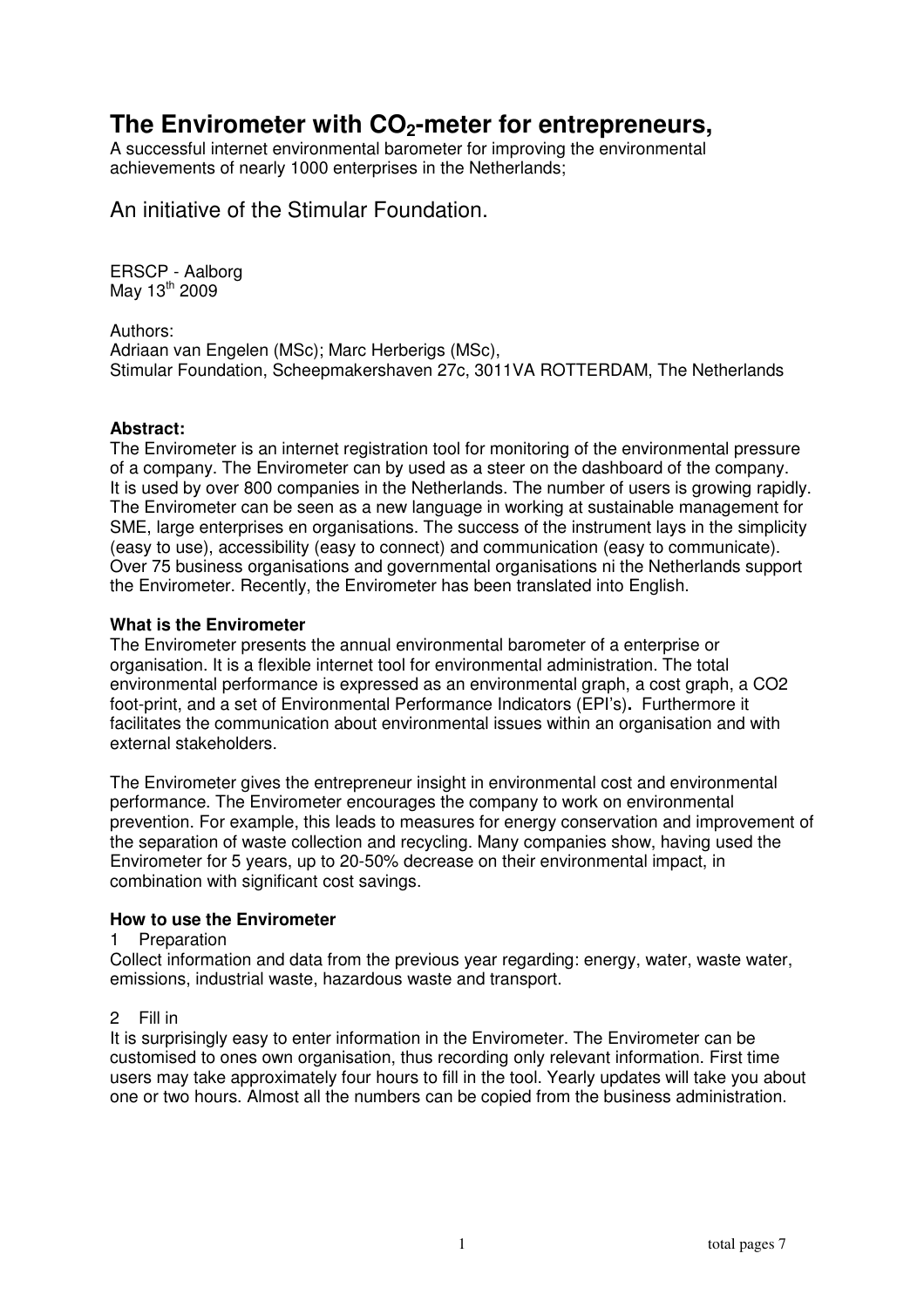# **The Envirometer with CO2-meter for entrepreneurs,**

A successful internet environmental barometer for improving the environmental achievements of nearly 1000 enterprises in the Netherlands;

An initiative of the Stimular Foundation.

ERSCP - Aalborg May 13<sup>th</sup> 2009

Authors: Adriaan van Engelen (MSc); Marc Herberigs (MSc), Stimular Foundation, Scheepmakershaven 27c, 3011VA ROTTERDAM, The Netherlands

## **Abstract:**

The Envirometer is an internet registration tool for monitoring of the environmental pressure of a company. The Envirometer can by used as a steer on the dashboard of the company. It is used by over 800 companies in the Netherlands. The number of users is growing rapidly. The Envirometer can be seen as a new language in working at sustainable management for SME, large enterprises en organisations. The success of the instrument lays in the simplicity (easy to use), accessibility (easy to connect) and communication (easy to communicate). Over 75 business organisations and governmental organisations ni the Netherlands support the Envirometer. Recently, the Envirometer has been translated into English.

## **What is the Envirometer**

The Envirometer presents the annual environmental barometer of a enterprise or organisation. It is a flexible internet tool for environmental administration. The total environmental performance is expressed as an environmental graph, a cost graph, a CO2 foot-print, and a set of Environmental Performance Indicators (EPI's)**.** Furthermore it facilitates the communication about environmental issues within an organisation and with external stakeholders.

The Envirometer gives the entrepreneur insight in environmental cost and environmental performance. The Envirometer encourages the company to work on environmental prevention. For example, this leads to measures for energy conservation and improvement of the separation of waste collection and recycling. Many companies show, having used the Envirometer for 5 years, up to 20-50% decrease on their environmental impact, in combination with significant cost savings.

## **How to use the Envirometer**

## 1 Preparation

Collect information and data from the previous year regarding: energy, water, waste water, emissions, industrial waste, hazardous waste and transport.

## 2 Fill in

It is surprisingly easy to enter information in the Envirometer. The Envirometer can be customised to ones own organisation, thus recording only relevant information. First time users may take approximately four hours to fill in the tool. Yearly updates will take you about one or two hours. Almost all the numbers can be copied from the business administration.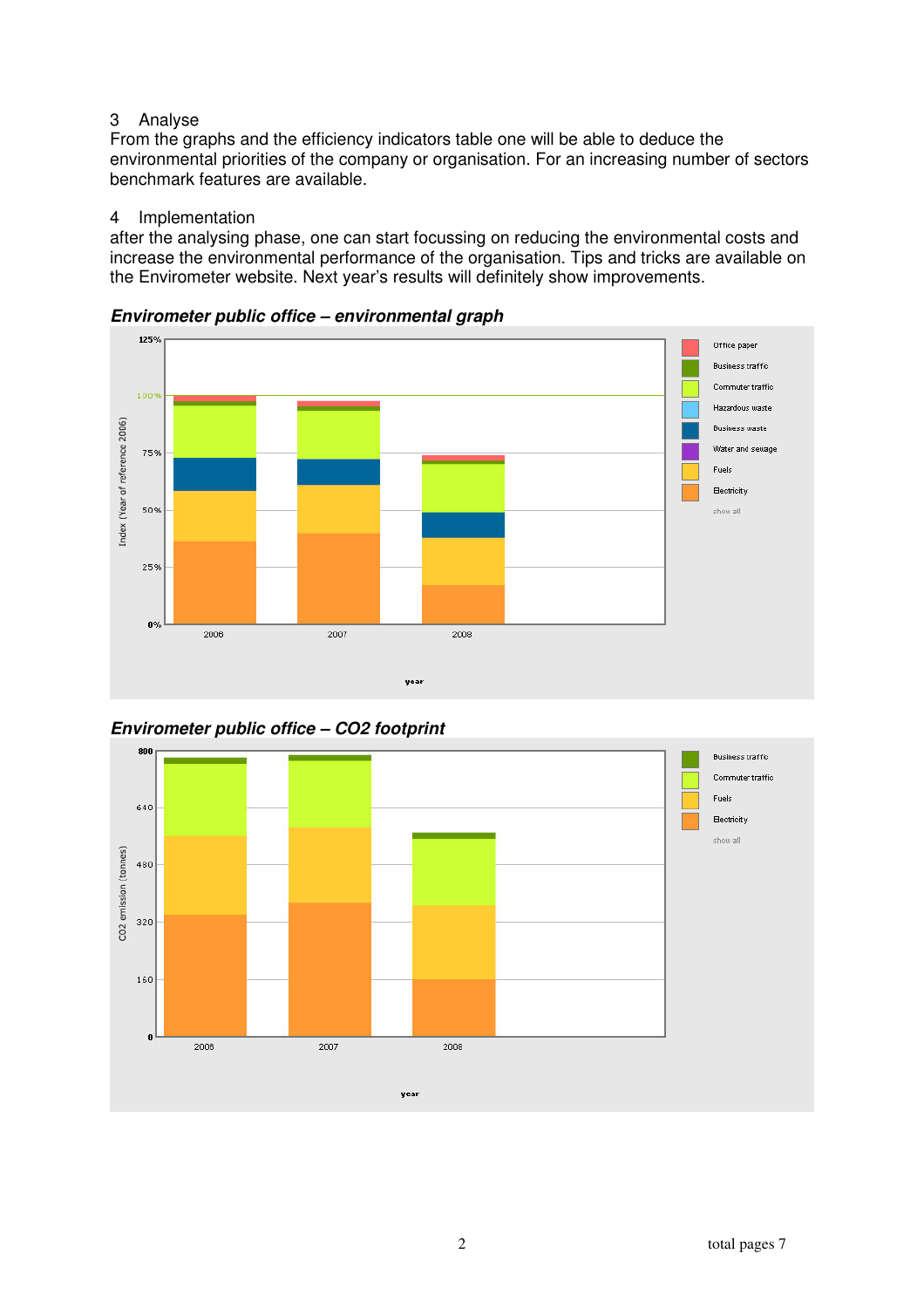# 3 Analyse

From the graphs and the efficiency indicators table one will be able to deduce the environmental priorities of the company or organisation. For an increasing number of sectors benchmark features are available.

## 4 Implementation

after the analysing phase, one can start focussing on reducing the environmental costs and increase the environmental performance of the organisation. Tips and tricks are available on the Envirometer website. Next year's results will definitely show improvements.



**Envirometer public office – environmental graph** 



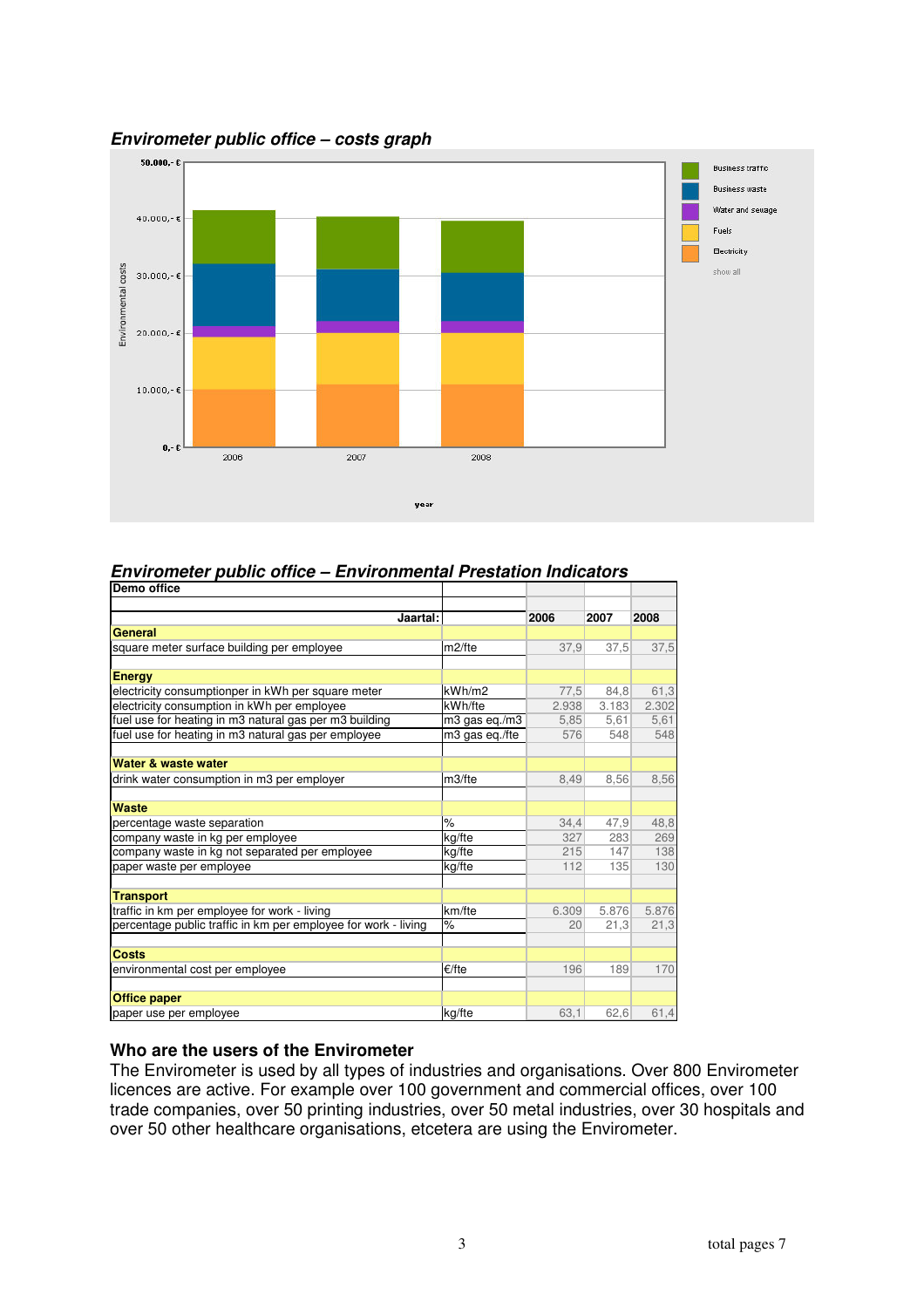

#### **Envirometer public office – costs graph**

# **Envirometer public office – Environmental Prestation Indicators**

| Demo office                                                    |                    |       |       |       |
|----------------------------------------------------------------|--------------------|-------|-------|-------|
| Jaartal:                                                       |                    | 2006  | 2007  | 2008  |
| General                                                        |                    |       |       |       |
| square meter surface building per employee                     | m <sub>2/fte</sub> | 37,9  | 37,5  | 37,5  |
| <b>Energy</b>                                                  |                    |       |       |       |
| electricity consumptionper in kWh per square meter             | kWh/m2             | 77,5  | 84,8  | 61,3  |
| electricity consumption in kWh per employee                    | kWh/fte            | 2.938 | 3.183 | 2.302 |
| fuel use for heating in m3 natural gas per m3 building         | m3 gas eq./m3      | 5,85  | 5,61  | 5,61  |
| fuel use for heating in m3 natural gas per employee            | m3 gas eg./fte     | 576   | 548   | 548   |
|                                                                |                    |       |       |       |
| Water & waste water                                            |                    |       |       |       |
| drink water consumption in m3 per employer                     | m3/fte             | 8,49  | 8,56  | 8,56  |
|                                                                |                    |       |       |       |
| Waste                                                          |                    |       |       |       |
| percentage waste separation                                    | $\frac{9}{6}$      | 34,4  | 47,9  | 48,8  |
| company waste in kg per employee                               | kg/fte             | 327   | 283   | 269   |
| company waste in kg not separated per employee                 | kg/fte             | 215   | 147   | 138   |
| paper waste per employee                                       | kg/fte             | 112   | 135   | 130   |
| <b>Transport</b>                                               |                    |       |       |       |
| traffic in km per employee for work - living                   | km/fte             | 6.309 | 5.876 | 5.876 |
| percentage public traffic in km per employee for work - living | $\%$               | 20    | 21,3  | 21,3  |
|                                                                |                    |       |       |       |
| Costs                                                          |                    |       |       |       |
| environmental cost per employee                                | €/fte              | 196   | 189   | 170   |
|                                                                |                    |       |       |       |
| <b>Office paper</b>                                            |                    |       |       |       |
| paper use per employee                                         | kg/fte             | 63.1  | 62,6  | 61,4  |

#### **Who are the users of the Envirometer**

The Envirometer is used by all types of industries and organisations. Over 800 Envirometer licences are active. For example over 100 government and commercial offices, over 100 trade companies, over 50 printing industries, over 50 metal industries, over 30 hospitals and over 50 other healthcare organisations, etcetera are using the Envirometer.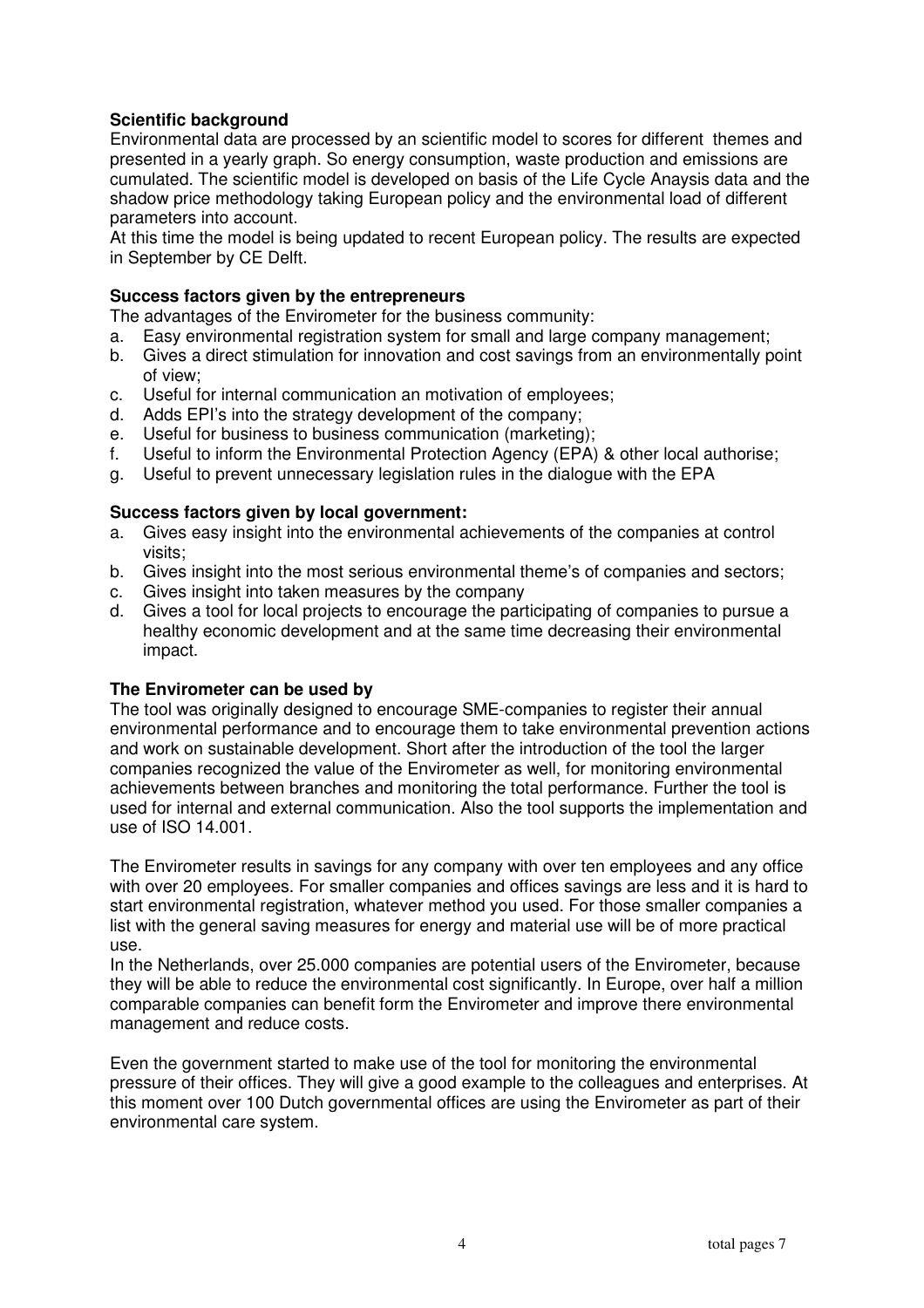# **Scientific background**

Environmental data are processed by an scientific model to scores for different themes and presented in a yearly graph. So energy consumption, waste production and emissions are cumulated. The scientific model is developed on basis of the Life Cycle Anaysis data and the shadow price methodology taking European policy and the environmental load of different parameters into account.

At this time the model is being updated to recent European policy. The results are expected in September by CE Delft.

## **Success factors given by the entrepreneurs**

The advantages of the Envirometer for the business community:

- a. Easy environmental registration system for small and large company management;
- b. Gives a direct stimulation for innovation and cost savings from an environmentally point of view;
- c. Useful for internal communication an motivation of employees;
- d. Adds EPI's into the strategy development of the company;
- e. Useful for business to business communication (marketing);
- f. Useful to inform the Environmental Protection Agency (EPA) & other local authorise;
- g. Useful to prevent unnecessary legislation rules in the dialogue with the EPA

#### **Success factors given by local government:**

- a. Gives easy insight into the environmental achievements of the companies at control visits;
- b. Gives insight into the most serious environmental theme's of companies and sectors;
- c. Gives insight into taken measures by the company
- d. Gives a tool for local projects to encourage the participating of companies to pursue a healthy economic development and at the same time decreasing their environmental impact.

#### **The Envirometer can be used by**

The tool was originally designed to encourage SME-companies to register their annual environmental performance and to encourage them to take environmental prevention actions and work on sustainable development. Short after the introduction of the tool the larger companies recognized the value of the Envirometer as well, for monitoring environmental achievements between branches and monitoring the total performance. Further the tool is used for internal and external communication. Also the tool supports the implementation and use of ISO 14.001.

The Envirometer results in savings for any company with over ten employees and any office with over 20 employees. For smaller companies and offices savings are less and it is hard to start environmental registration, whatever method you used. For those smaller companies a list with the general saving measures for energy and material use will be of more practical use.

In the Netherlands, over 25.000 companies are potential users of the Envirometer, because they will be able to reduce the environmental cost significantly. In Europe, over half a million comparable companies can benefit form the Envirometer and improve there environmental management and reduce costs.

Even the government started to make use of the tool for monitoring the environmental pressure of their offices. They will give a good example to the colleagues and enterprises. At this moment over 100 Dutch governmental offices are using the Envirometer as part of their environmental care system.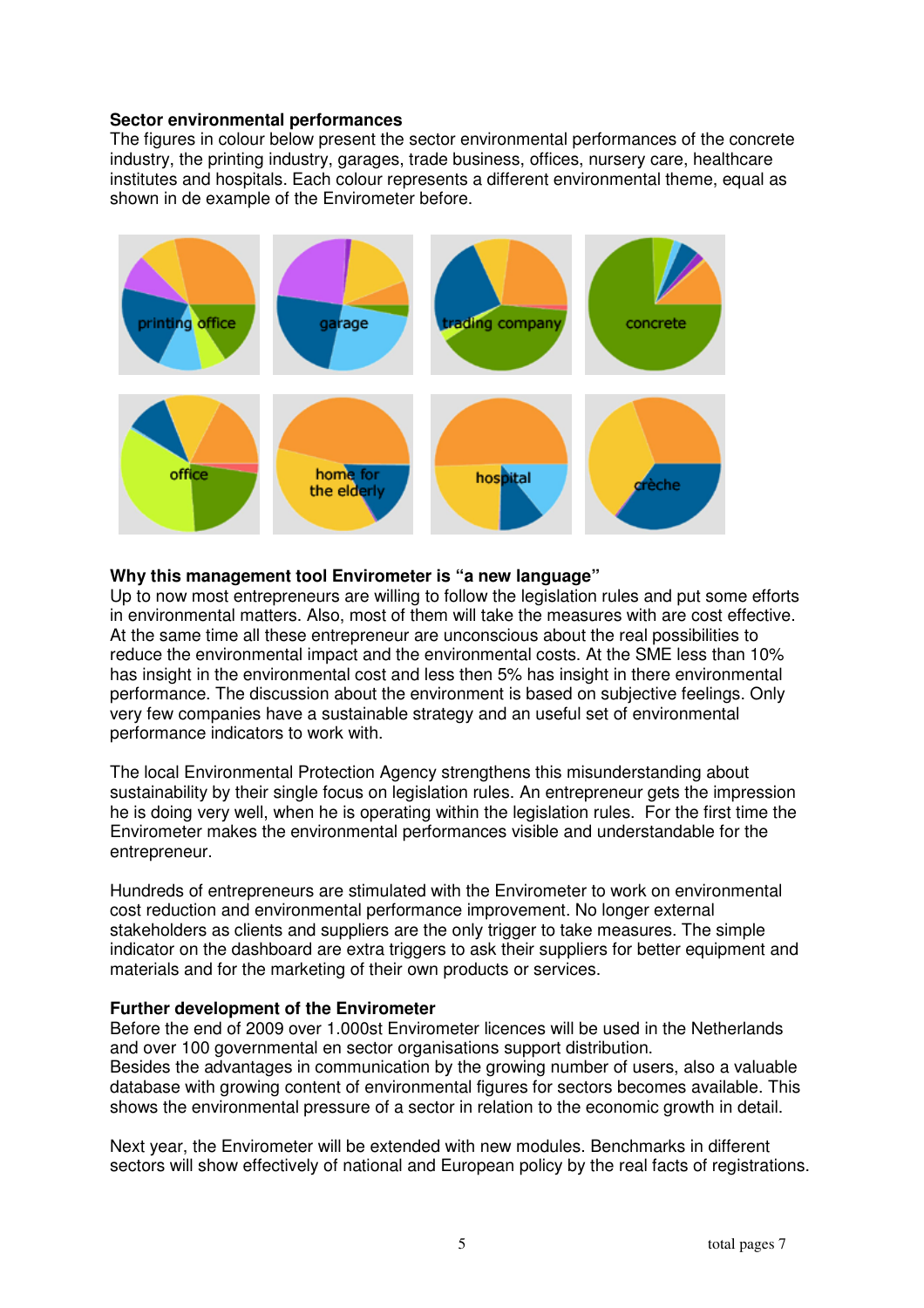#### **Sector environmental performances**

The figures in colour below present the sector environmental performances of the concrete industry, the printing industry, garages, trade business, offices, nursery care, healthcare institutes and hospitals. Each colour represents a different environmental theme, equal as shown in de example of the Envirometer before.



## **Why this management tool Envirometer is "a new language"**

Up to now most entrepreneurs are willing to follow the legislation rules and put some efforts in environmental matters. Also, most of them will take the measures with are cost effective. At the same time all these entrepreneur are unconscious about the real possibilities to reduce the environmental impact and the environmental costs. At the SME less than 10% has insight in the environmental cost and less then 5% has insight in there environmental performance. The discussion about the environment is based on subjective feelings. Only very few companies have a sustainable strategy and an useful set of environmental performance indicators to work with.

The local Environmental Protection Agency strengthens this misunderstanding about sustainability by their single focus on legislation rules. An entrepreneur gets the impression he is doing very well, when he is operating within the legislation rules. For the first time the Envirometer makes the environmental performances visible and understandable for the entrepreneur.

Hundreds of entrepreneurs are stimulated with the Envirometer to work on environmental cost reduction and environmental performance improvement. No longer external stakeholders as clients and suppliers are the only trigger to take measures. The simple indicator on the dashboard are extra triggers to ask their suppliers for better equipment and materials and for the marketing of their own products or services.

## **Further development of the Envirometer**

Before the end of 2009 over 1.000st Envirometer licences will be used in the Netherlands and over 100 governmental en sector organisations support distribution. Besides the advantages in communication by the growing number of users, also a valuable database with growing content of environmental figures for sectors becomes available. This shows the environmental pressure of a sector in relation to the economic growth in detail.

Next year, the Envirometer will be extended with new modules. Benchmarks in different sectors will show effectively of national and European policy by the real facts of registrations.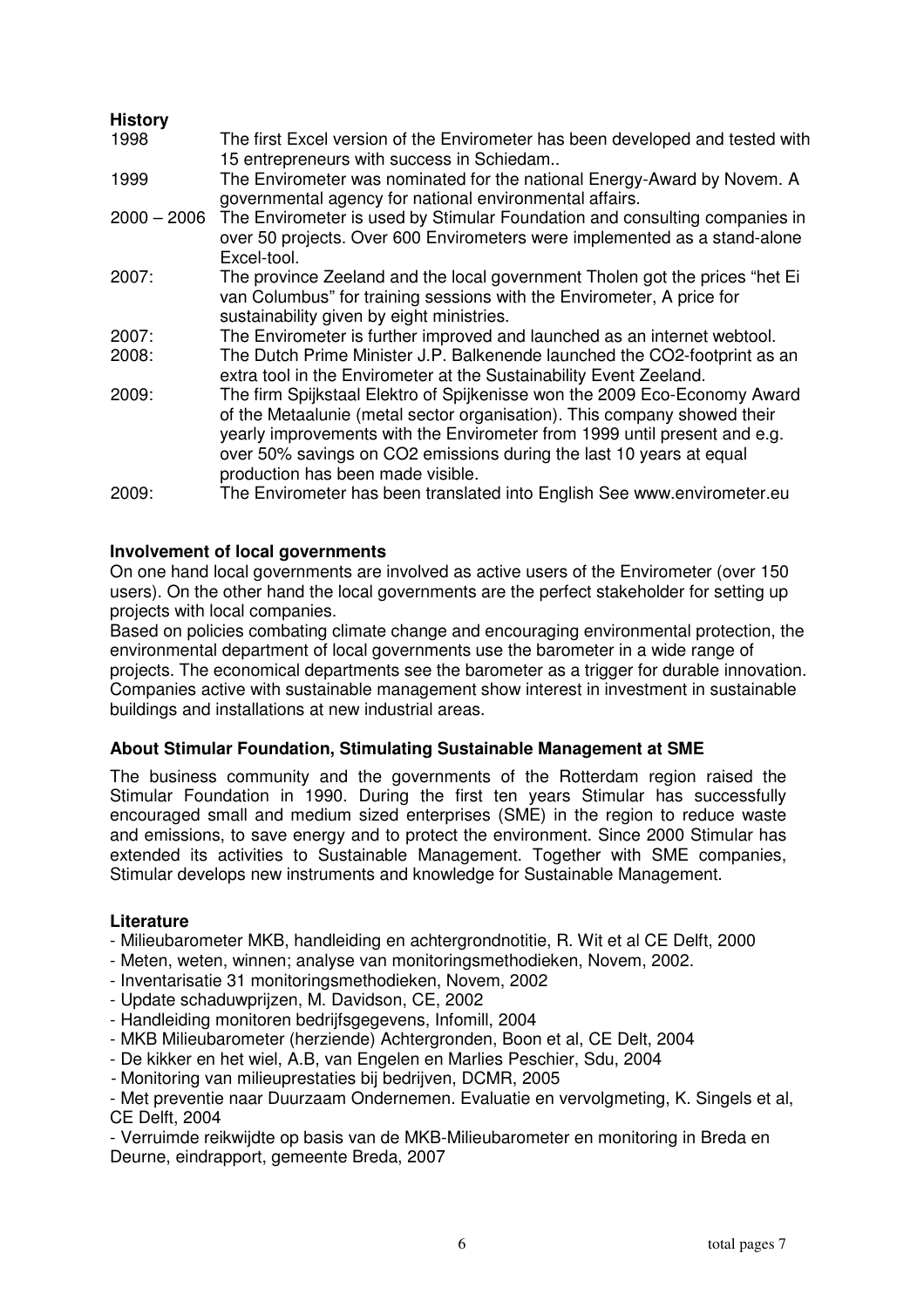## **History**

| 1998          | The first Excel version of the Envirometer has been developed and tested with<br>15 entrepreneurs with success in Schiedam                                                                                                                                                                                                                     |
|---------------|------------------------------------------------------------------------------------------------------------------------------------------------------------------------------------------------------------------------------------------------------------------------------------------------------------------------------------------------|
| 1999          | The Envirometer was nominated for the national Energy-Award by Novem. A<br>governmental agency for national environmental affairs.                                                                                                                                                                                                             |
| $2000 - 2006$ | The Envirometer is used by Stimular Foundation and consulting companies in<br>over 50 projects. Over 600 Envirometers were implemented as a stand-alone<br>Excel-tool.                                                                                                                                                                         |
| 2007:         | The province Zeeland and the local government Tholen got the prices "het Ei<br>van Columbus" for training sessions with the Envirometer, A price for<br>sustainability given by eight ministries.                                                                                                                                              |
| 2007:         | The Envirometer is further improved and launched as an internet webtool.                                                                                                                                                                                                                                                                       |
| 2008:         | The Dutch Prime Minister J.P. Balkenende launched the CO2-footprint as an<br>extra tool in the Envirometer at the Sustainability Event Zeeland.                                                                                                                                                                                                |
| 2009:         | The firm Spijkstaal Elektro of Spijkenisse won the 2009 Eco-Economy Award<br>of the Metaalunie (metal sector organisation). This company showed their<br>yearly improvements with the Envirometer from 1999 until present and e.g.<br>over 50% savings on CO2 emissions during the last 10 years at equal<br>production has been made visible. |
| 2009:         | The Envirometer has been translated into English See www.envirometer.eu                                                                                                                                                                                                                                                                        |

## **Involvement of local governments**

On one hand local governments are involved as active users of the Envirometer (over 150 users). On the other hand the local governments are the perfect stakeholder for setting up projects with local companies.

Based on policies combating climate change and encouraging environmental protection, the environmental department of local governments use the barometer in a wide range of projects. The economical departments see the barometer as a trigger for durable innovation. Companies active with sustainable management show interest in investment in sustainable buildings and installations at new industrial areas.

## **About Stimular Foundation, Stimulating Sustainable Management at SME**

The business community and the governments of the Rotterdam region raised the Stimular Foundation in 1990. During the first ten years Stimular has successfully encouraged small and medium sized enterprises (SME) in the region to reduce waste and emissions, to save energy and to protect the environment. Since 2000 Stimular has extended its activities to Sustainable Management. Together with SME companies, Stimular develops new instruments and knowledge for Sustainable Management.

## **Literature**

- Milieubarometer MKB, handleiding en achtergrondnotitie, R. Wit et al CE Delft, 2000
- Meten, weten, winnen; analyse van monitoringsmethodieken, Novem, 2002.
- Inventarisatie 31 monitoringsmethodieken, Novem, 2002
- Update schaduwprijzen, M. Davidson, CE, 2002
- Handleiding monitoren bedrijfsgegevens, Infomill, 2004
- MKB Milieubarometer (herziende) Achtergronden, Boon et al, CE Delt, 2004
- De kikker en het wiel, A.B, van Engelen en Marlies Peschier, Sdu, 2004
- Monitoring van milieuprestaties bij bedrijven, DCMR, 2005

- Met preventie naar Duurzaam Ondernemen. Evaluatie en vervolgmeting, K. Singels et al, CE Delft, 2004

- Verruimde reikwijdte op basis van de MKB-Milieubarometer en monitoring in Breda en Deurne, eindrapport, gemeente Breda, 2007